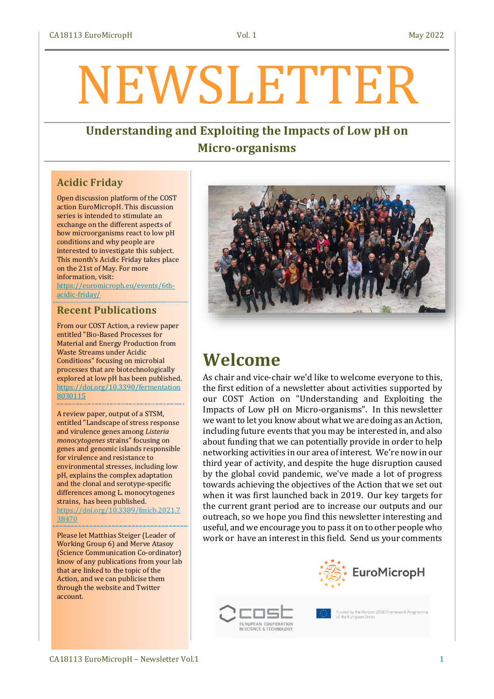# NEWSLETTER

## **Understanding and Exploiting the Impacts of Low pH on Micro-organisms**

## **Acidic Friday**

Open discussion platform of the COST action EuroMicropH. This discussion series is intended to stimulate an exchange on the different aspects of how microorganisms react to low pH conditions and why people are interested to investigate this subject. This month's Acidic Friday takes place on the 21st of May. For more information, visit:

[https://euromicroph.eu/events/6th](https://euromicroph.eu/events/6th-acidic-friday/)[acidic-friday/](https://euromicroph.eu/events/6th-acidic-friday/)

## **Recent Publications**

From our COST Action, a review paper entitled "Bio-Based Processes for Material and Energy Production from Waste Streams under Acidic Conditions" focusing on microbial processes that are biotechnologically explored at low pH has been published. [https://doi.org/10.3390/fermentation](https://doi.org/10.3390/fermentation8030115) [8030115](https://doi.org/10.3390/fermentation8030115)

A review paper, output of a STSM, entitled "Landscape of stress response and virulence genes among *Listeria monocytogenes* strains" focusing on genes and genomic islands responsible for virulence and resistance to environmental stresses, including low pH, explains the complex adaptation and the clonal and serotype-specific differences among L. monocytogenes strains, has been published. [https://doi.org/10.3389/fmicb.2021.7](https://doi.org/10.3389/fmicb.2021.738470) [38470](https://doi.org/10.3389/fmicb.2021.738470)

Please let Matthias Steiger (Leader of Working Group 6) and Merve Atasoy (Science Communication Co-ordinator) know of any publications from your lab that are linked to the topic of the Action, and we can publicise them through the website and Twitter account.



## **Welcome**

As chair and vice-chair we'd like to welcome everyone to this, the first edition of a newsletter about activities supported by our COST Action on "Understanding and Exploiting the Impacts of Low pH on Micro-organisms". In this newsletter we want to let you know about what we are doing as an Action, including future events that you may be interested in, and also about funding that we can potentially provide in order to help networking activities in our area of interest. We're now in our third year of activity, and despite the huge disruption caused by the global covid pandemic, we've made a lot of progress towards achieving the objectives of the Action that we set out when it was first launched back in 2019. Our key targets for the current grant period are to increase our outputs and our outreach, so we hope you find this newsletter interesting and useful, and we encourage you to pass it on to other people who work or have an interest in this field. Send us your comments





Funded by the Horizon 2020 Framework Programme<br>of the European Union